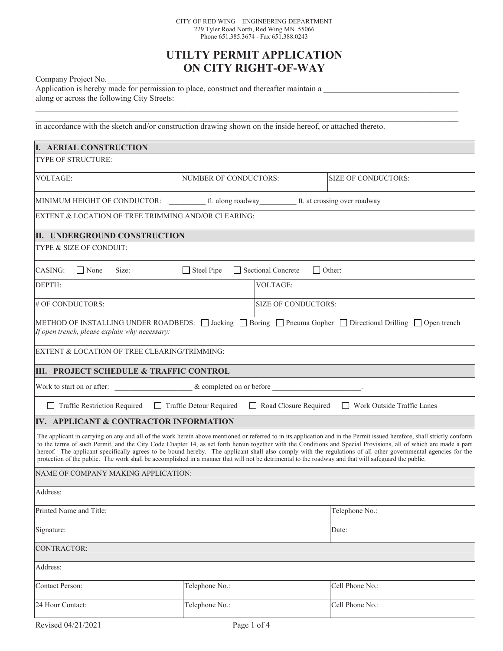## **UTILTY PERMIT APPLICATION ON CITY RIGHT-OF-WAY**

 $\mathcal{L}_\mathcal{L} = \mathcal{L}_\mathcal{L} = \mathcal{L}_\mathcal{L} = \mathcal{L}_\mathcal{L} = \mathcal{L}_\mathcal{L} = \mathcal{L}_\mathcal{L} = \mathcal{L}_\mathcal{L} = \mathcal{L}_\mathcal{L} = \mathcal{L}_\mathcal{L} = \mathcal{L}_\mathcal{L} = \mathcal{L}_\mathcal{L} = \mathcal{L}_\mathcal{L} = \mathcal{L}_\mathcal{L} = \mathcal{L}_\mathcal{L} = \mathcal{L}_\mathcal{L} = \mathcal{L}_\mathcal{L} = \mathcal{L}_\mathcal{L}$  $\mathcal{L}_\mathcal{L} = \mathcal{L}_\mathcal{L} = \mathcal{L}_\mathcal{L} = \mathcal{L}_\mathcal{L} = \mathcal{L}_\mathcal{L} = \mathcal{L}_\mathcal{L} = \mathcal{L}_\mathcal{L} = \mathcal{L}_\mathcal{L} = \mathcal{L}_\mathcal{L} = \mathcal{L}_\mathcal{L} = \mathcal{L}_\mathcal{L} = \mathcal{L}_\mathcal{L} = \mathcal{L}_\mathcal{L} = \mathcal{L}_\mathcal{L} = \mathcal{L}_\mathcal{L} = \mathcal{L}_\mathcal{L} = \mathcal{L}_\mathcal{L}$ 

Company Project No.

Application is hereby made for permission to place, construct and thereafter maintain a \_\_\_\_\_\_\_\_\_\_\_\_\_\_\_\_\_\_\_\_\_\_\_\_\_\_\_\_\_\_\_\_\_ along or across the following City Streets:

in accordance with the sketch and/or construction drawing shown on the inside hereof, or attached thereto.

| <b>I. AERIAL CONSTRUCTION</b>                                                                                                                                                                                                                                                                                                                                                                                                                                                                                                                                                                                                                                        |                            |  |                     |
|----------------------------------------------------------------------------------------------------------------------------------------------------------------------------------------------------------------------------------------------------------------------------------------------------------------------------------------------------------------------------------------------------------------------------------------------------------------------------------------------------------------------------------------------------------------------------------------------------------------------------------------------------------------------|----------------------------|--|---------------------|
| TYPE OF STRUCTURE:                                                                                                                                                                                                                                                                                                                                                                                                                                                                                                                                                                                                                                                   |                            |  |                     |
| VOLTAGE:                                                                                                                                                                                                                                                                                                                                                                                                                                                                                                                                                                                                                                                             | NUMBER OF CONDUCTORS:      |  | SIZE OF CONDUCTORS: |
| ft. along roadway ft. at crossing over roadway<br>MINIMUM HEIGHT OF CONDUCTOR:                                                                                                                                                                                                                                                                                                                                                                                                                                                                                                                                                                                       |                            |  |                     |
| EXTENT & LOCATION OF TREE TRIMMING AND/OR CLEARING:                                                                                                                                                                                                                                                                                                                                                                                                                                                                                                                                                                                                                  |                            |  |                     |
| II. UNDERGROUND CONSTRUCTION                                                                                                                                                                                                                                                                                                                                                                                                                                                                                                                                                                                                                                         |                            |  |                     |
| TYPE & SIZE OF CONDUIT:                                                                                                                                                                                                                                                                                                                                                                                                                                                                                                                                                                                                                                              |                            |  |                     |
| $\Box$ Steel Pipe<br>Sectional Concrete<br>CASING:<br>None<br>Other:                                                                                                                                                                                                                                                                                                                                                                                                                                                                                                                                                                                                 |                            |  |                     |
| DEPTH:                                                                                                                                                                                                                                                                                                                                                                                                                                                                                                                                                                                                                                                               | <b>VOLTAGE:</b>            |  |                     |
| # OF CONDUCTORS:                                                                                                                                                                                                                                                                                                                                                                                                                                                                                                                                                                                                                                                     | <b>SIZE OF CONDUCTORS:</b> |  |                     |
| METHOD OF INSTALLING UNDER ROADBEDS: $\Box$ Jacking $\Box$ Boring $\Box$ Pneuma Gopher $\Box$ Directional Drilling $\Box$ Open trench<br>If open trench, please explain why necessary:                                                                                                                                                                                                                                                                                                                                                                                                                                                                               |                            |  |                     |
| EXTENT & LOCATION OF TREE CLEARING/TRIMMING:                                                                                                                                                                                                                                                                                                                                                                                                                                                                                                                                                                                                                         |                            |  |                     |
| III. PROJECT SCHEDULE & TRAFFIC CONTROL                                                                                                                                                                                                                                                                                                                                                                                                                                                                                                                                                                                                                              |                            |  |                     |
|                                                                                                                                                                                                                                                                                                                                                                                                                                                                                                                                                                                                                                                                      |                            |  |                     |
| Traffic Detour Required<br>Traffic Restriction Required<br>Road Closure Required<br>Work Outside Traffic Lanes                                                                                                                                                                                                                                                                                                                                                                                                                                                                                                                                                       |                            |  |                     |
| IV. APPLICANT & CONTRACTOR INFORMATION                                                                                                                                                                                                                                                                                                                                                                                                                                                                                                                                                                                                                               |                            |  |                     |
| The applicant in carrying on any and all of the work herein above mentioned or referred to in its application and in the Permit issued herefore, shall strictly conform<br>to the terms of such Permit, and the City Code Chapter 14, as set forth herein together with the Conditions and Special Provisions, all of which are made a part<br>hereof. The applicant specifically agrees to be bound hereby. The applicant shall also comply with the regulations of all other governmental agencies for the<br>protection of the public. The work shall be accomplished in a manner that will not be detrimental to the roadway and that will safeguard the public. |                            |  |                     |
| NAME OF COMPANY MAKING APPLICATION:                                                                                                                                                                                                                                                                                                                                                                                                                                                                                                                                                                                                                                  |                            |  |                     |
| Address:                                                                                                                                                                                                                                                                                                                                                                                                                                                                                                                                                                                                                                                             |                            |  |                     |
| Printed Name and Title:                                                                                                                                                                                                                                                                                                                                                                                                                                                                                                                                                                                                                                              |                            |  | Telephone No.:      |
| Signature:                                                                                                                                                                                                                                                                                                                                                                                                                                                                                                                                                                                                                                                           |                            |  | Date:               |
| CONTRACTOR:                                                                                                                                                                                                                                                                                                                                                                                                                                                                                                                                                                                                                                                          |                            |  |                     |
| Address:                                                                                                                                                                                                                                                                                                                                                                                                                                                                                                                                                                                                                                                             |                            |  |                     |
| Contact Person:                                                                                                                                                                                                                                                                                                                                                                                                                                                                                                                                                                                                                                                      | Telephone No.:             |  | Cell Phone No.:     |
| 24 Hour Contact:                                                                                                                                                                                                                                                                                                                                                                                                                                                                                                                                                                                                                                                     | Telephone No.:             |  | Cell Phone No.:     |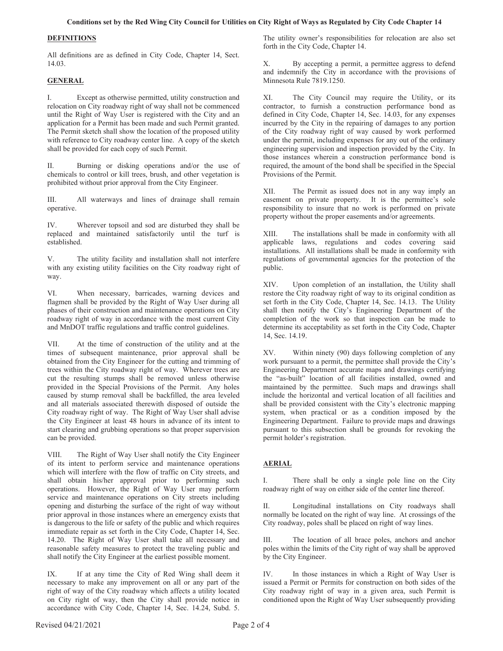#### **Conditions set by the Red Wing City Council for Utilities on City Right of Ways as Regulated by City Code Chapter 14**

#### **DEFINITIONS**

All definitions are as defined in City Code, Chapter 14, Sect. 14.03.

#### **GENERAL**

I. Except as otherwise permitted, utility construction and relocation on City roadway right of way shall not be commenced until the Right of Way User is registered with the City and an application for a Permit has been made and such Permit granted. The Permit sketch shall show the location of the proposed utility with reference to City roadway center line. A copy of the sketch shall be provided for each copy of such Permit.

II. Burning or disking operations and/or the use of chemicals to control or kill trees, brush, and other vegetation is prohibited without prior approval from the City Engineer.

III. All waterways and lines of drainage shall remain operative.

IV. Wherever topsoil and sod are disturbed they shall be replaced and maintained satisfactorily until the turf is established.

V. The utility facility and installation shall not interfere with any existing utility facilities on the City roadway right of way.

VI. When necessary, barricades, warning devices and flagmen shall be provided by the Right of Way User during all phases of their construction and maintenance operations on City roadway right of way in accordance with the most current City and MnDOT traffic regulations and traffic control guidelines.

VII. At the time of construction of the utility and at the times of subsequent maintenance, prior approval shall be obtained from the City Engineer for the cutting and trimming of trees within the City roadway right of way. Wherever trees are cut the resulting stumps shall be removed unless otherwise provided in the Special Provisions of the Permit. Any holes caused by stump removal shall be backfilled, the area leveled and all materials associated therewith disposed of outside the City roadway right of way. The Right of Way User shall advise the City Engineer at least 48 hours in advance of its intent to start clearing and grubbing operations so that proper supervision can be provided.

VIII. The Right of Way User shall notify the City Engineer of its intent to perform service and maintenance operations which will interfere with the flow of traffic on City streets, and shall obtain his/her approval prior to performing such operations. However, the Right of Way User may perform service and maintenance operations on City streets including opening and disturbing the surface of the right of way without prior approval in those instances where an emergency exists that is dangerous to the life or safety of the public and which requires immediate repair as set forth in the City Code, Chapter 14, Sec. 14.20. The Right of Way User shall take all necessary and reasonable safety measures to protect the traveling public and shall notify the City Engineer at the earliest possible moment.

IX. If at any time the City of Red Wing shall deem it necessary to make any improvement on all or any part of the right of way of the City roadway which affects a utility located on City right of way, then the City shall provide notice in accordance with City Code, Chapter 14, Sec. 14.24, Subd. 5.

The utility owner's responsibilities for relocation are also set forth in the City Code, Chapter 14.

X. By accepting a permit, a permittee aggress to defend and indemnify the City in accordance with the provisions of Minnesota Rule 7819.1250.

XI. The City Council may require the Utility, or its contractor, to furnish a construction performance bond as defined in City Code, Chapter 14, Sec. 14.03, for any expenses incurred by the City in the repairing of damages to any portion of the City roadway right of way caused by work performed under the permit, including expenses for any out of the ordinary engineering supervision and inspection provided by the City. In those instances wherein a construction performance bond is required, the amount of the bond shall be specified in the Special Provisions of the Permit.

XII. The Permit as issued does not in any way imply an easement on private property. It is the permittee's sole responsibility to insure that no work is performed on private property without the proper easements and/or agreements.

XIII. The installations shall be made in conformity with all applicable laws, regulations and codes covering said installations. All installations shall be made in conformity with regulations of governmental agencies for the protection of the public.

XIV. Upon completion of an installation, the Utility shall restore the City roadway right of way to its original condition as set forth in the City Code, Chapter 14, Sec. 14.13. The Utility shall then notify the City's Engineering Department of the completion of the work so that inspection can be made to determine its acceptability as set forth in the City Code, Chapter 14, Sec. 14.19.

XV. Within ninety (90) days following completion of any work pursuant to a permit, the permittee shall provide the City's Engineering Department accurate maps and drawings certifying the "as-built" location of all facilities installed, owned and maintained by the permittee. Such maps and drawings shall include the horizontal and vertical location of all facilities and shall be provided consistent with the City's electronic mapping system, when practical or as a condition imposed by the Engineering Department. Failure to provide maps and drawings pursuant to this subsection shall be grounds for revoking the permit holder's registration.

#### **AERIAL**

I. There shall be only a single pole line on the City roadway right of way on either side of the center line thereof.

II. Longitudinal installations on City roadways shall normally be located on the right of way line. At crossings of the City roadway, poles shall be placed on right of way lines.

III. The location of all brace poles, anchors and anchor poles within the limits of the City right of way shall be approved by the City Engineer.

IV. In those instances in which a Right of Way User is issued a Permit or Permits for construction on both sides of the City roadway right of way in a given area, such Permit is conditioned upon the Right of Way User subsequently providing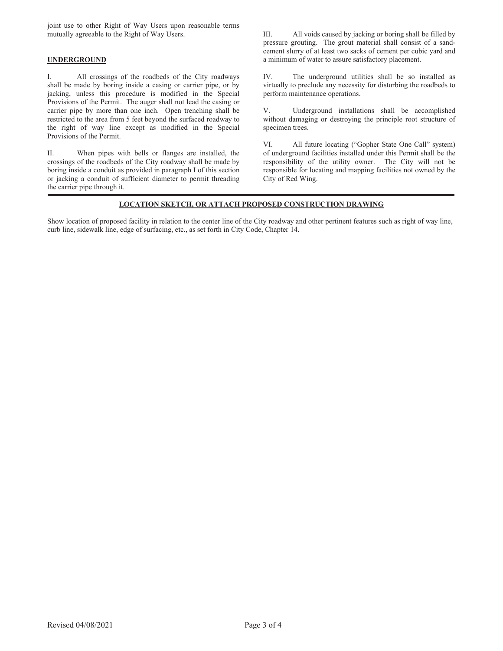joint use to other Right of Way Users upon reasonable terms mutually agreeable to the Right of Way Users.

#### **UNDERGROUND**

I. All crossings of the roadbeds of the City roadways shall be made by boring inside a casing or carrier pipe, or by jacking, unless this procedure is modified in the Special Provisions of the Permit. The auger shall not lead the casing or carrier pipe by more than one inch. Open trenching shall be restricted to the area from 5 feet beyond the surfaced roadway to the right of way line except as modified in the Special Provisions of the Permit.

II. When pipes with bells or flanges are installed, the crossings of the roadbeds of the City roadway shall be made by boring inside a conduit as provided in paragraph I of this section or jacking a conduit of sufficient diameter to permit threading the carrier pipe through it.

III. All voids caused by jacking or boring shall be filled by pressure grouting. The grout material shall consist of a sandcement slurry of at least two sacks of cement per cubic yard and a minimum of water to assure satisfactory placement.

IV. The underground utilities shall be so installed as virtually to preclude any necessity for disturbing the roadbeds to perform maintenance operations.

V. Underground installations shall be accomplished without damaging or destroying the principle root structure of specimen trees.

VI. All future locating ("Gopher State One Call" system) of underground facilities installed under this Permit shall be the responsibility of the utility owner. The City will not be responsible for locating and mapping facilities not owned by the City of Red Wing.

#### **LOCATION SKETCH, OR ATTACH PROPOSED CONSTRUCTION DRAWING**

Show location of proposed facility in relation to the center line of the City roadway and other pertinent features such as right of way line, curb line, sidewalk line, edge of surfacing, etc., as set forth in City Code, Chapter 14.